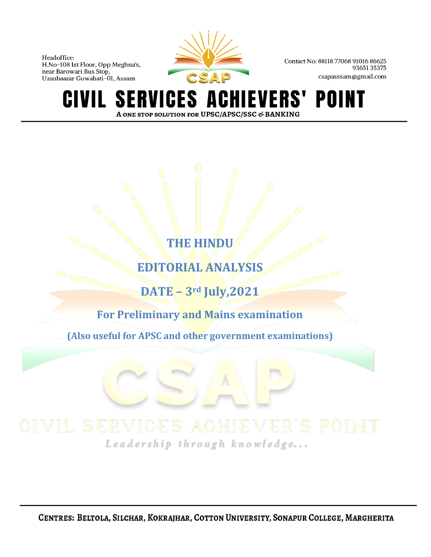

Contact No: 88118 77068 91016 86625 9365135375 csapasssam@gmail.com

**CIVIL SERVICES ACI** HIEVERS' POINT A ONE STOP SOLUTION FOR UPSC/APSC/SSC & BANKING

# **THE HINDU**

# **EDITORIAL ANALYSIS**

**DATE – 3rd July,2021**

**For Preliminary and Mains examination**

**(Also useful for APSC and other government examinations)**

Leadership through knowledge...

CENTRES: BELTOLA, SILCHAR, KOKRAJHAR, COTTON UNIVERSITY, SONAPUR COLLEGE, MARGHERITA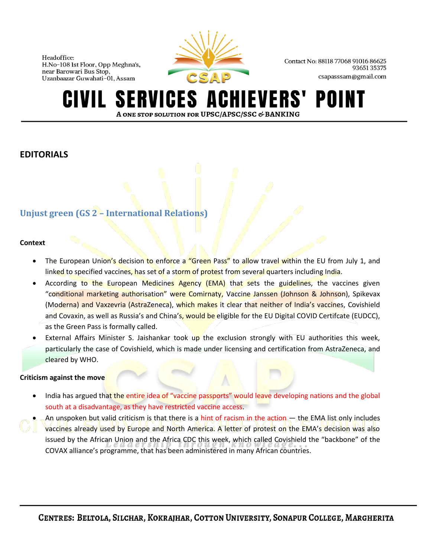

Contact No: 88118 77068 91016 86625 9365135375 csapasssam@gmail.com

#### **SERVICES A IEVERS'** POINT A ONE STOP SOLUTION FOR UPSC/APSC/SSC & BANKING

# **EDITORIALS**

# **Unjust green (GS 2 – International Relations)**

### **Context**

- The European Union's decision to enforce a "Green Pass" to allow travel within the EU from July 1, and linked to specified vaccines, has set of a storm of protest from several quarters including India.
- According to the European Medicines Agency (EMA) that sets the guidelines, the vaccines given "conditional marketing authorisation" were Comirnaty, Vaccine Janssen (Johnson & Johnson), Spikevax (Moderna) and Vaxzevria (AstraZeneca), which makes it clear that neither of India's vaccines, Covishield and Covaxin, as well as Russia's and China's, would be eligible for the EU Digital COVID Certifcate (EUDCC), as the Green Pass is formally called.
- External Affairs Minister S. Jaishankar took up the exclusion strongly with EU authorities this week, particularly the case of Covishield, which is made under licensing and certification from AstraZeneca, and cleared by WHO.

### **Criticism against the move**

- India has argued that the entire idea of "vaccine passports" would leave developing nations and the global south at a disadvantage, as they have restricted vaccine access.
- An unspoken but valid criticism is that there is a hint of racism in the action  $-$  the EMA list only includes
- vaccines already used by Europe and North America. A letter of protest on the EMA's decision was also issued by the African Union and the Africa CDC this week, which called Covishield the "backbone" of the COVAX alliance's programme, that has been administered in many African countries.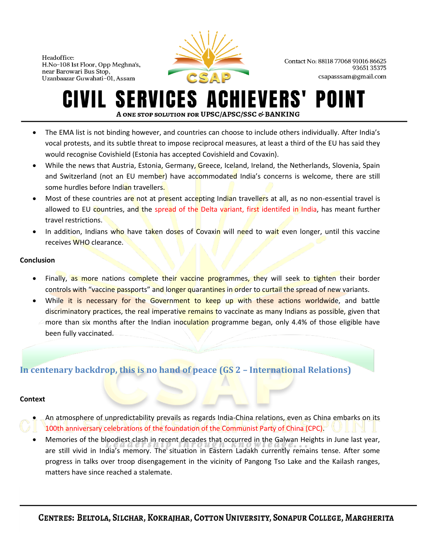

Contact No: 88118 77068 91016 86625 9365135375 csapasssam@gmail.com

#### **SERVICES ACHIEVERS'** POI IVIL I A ONE STOP SOLUTION FOR UPSC/APSC/SSC & BANKING

- The EMA list is not binding however, and countries can choose to include others individually. After India's vocal protests, and its subtle threat to impose reciprocal measures, at least a third of the EU has said they would recognise Covishield (Estonia has accepted Covishield and Covaxin).
- While the news that Austria, Estonia, Germany, Greece, Iceland, Ireland, the Netherlands, Slovenia, Spain and Switzerland (not an EU member) have accommodated India's concerns is welcome, there are still some hurdles before Indian travellers.
- Most of these countries are not at present accepting Indian travellers at all, as no non-essential travel is allowed to EU countries, and the spread of the Delta variant, first identifed in India, has meant further travel restrictions.
- In addition, Indians who have taken doses of Covaxin will need to wait even longer, until this vaccine receives WHO clearance.

#### **Conclusion**

- Finally, as more nations complete their vaccine programmes, they will seek to tighten their border controls with "vaccine passports" and longer quarantines in order to curtail the spread of new variants.
- While it is necessary for the Government to keep up with these actions worldwide, and battle discriminatory practices, the real imperative remains to vaccinate as many Indians as possible, given that more than six months after the Indian inoculation programme began, only 4.4% of those eligible have been fully vaccinated.

# **In centenary backdrop, this is no hand of peace (GS 2 – International Relations)**

### **Context**

- An atmosphere of unpredictability prevails as regards India-China relations, even as China embarks on its
- 100th anniversary celebrations of the foundation of the Communist Party of China (CPC).
- Memories of the bloodiest clash in recent decades that occurred in the Galwan Heights in June last year, are still vivid in India's memory. The situation in Eastern Ladakh currently remains tense. After some progress in talks over troop disengagement in the vicinity of Pangong Tso Lake and the Kailash ranges, matters have since reached a stalemate.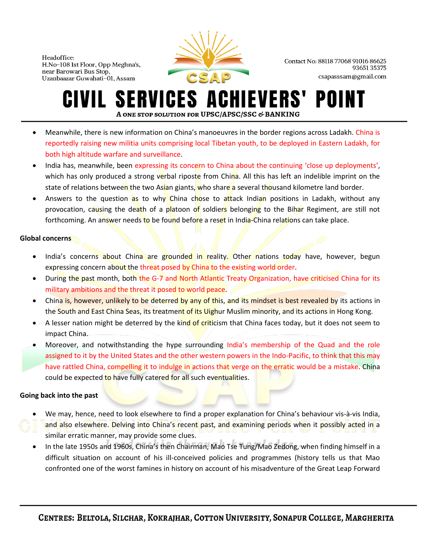

Contact No: 88118 77068 91016 86625 9365135375 csapasssam@gmail.com

#### **SERVICES ACHIEVERS'** POII IVIL-A ONE STOP SOLUTION FOR UPSC/APSC/SSC & BANKING

- Meanwhile, there is new information on China's manoeuvres in the border regions across Ladakh. China is reportedly raising new militia units comprising local Tibetan youth, to be deployed in Eastern Ladakh, for both high altitude warfare and surveillance.
- India has, meanwhile, been expressing its concern to China about the continuing 'close up deployments', which has only produced a strong verbal riposte from China. All this has left an indelible imprint on the state of relations between the two Asian giants, who share a several thousand kilometre land border.
- Answers to the question as to why China chose to attack Indian positions in Ladakh, without any provocation, causing the death of a platoon of soldiers belonging to the Bihar Regiment, are still not forthcoming. An answer needs to be found before a reset in India-China relations can take place.

### **Global concerns**

- India's concerns about China are grounded in reality. Other nations today have, however, begun expressing concern about the threat posed by China to the existing world order.
- During the past month, both the G-7 and North Atlantic Treaty Organization, have criticised China for its military ambitions and the threat it posed to world peace.
- China is, however, unlikely to be deterred by any of this, and its mindset is best revealed by its actions in the South and East China Seas, its treatment of its Uighur Muslim minority, and its actions in Hong Kong.
- A lesser nation might be deterred by the kind of criticism that China faces today, but it does not seem to impact China.
- Moreover, and notwithstanding the hype surrounding India's membership of the Quad and the role assigned to it by the United States and the other western powers in the Indo-Pacific, to think that this may have rattled China, compelling it to indulge in actions that verge on the erratic would be a mistake. China could be expected to have fully catered for all such eventualities.

### **Going back into the past**

- We may, hence, need to look elsewhere to find a proper explanation for China's behaviour vis-à-vis India, and also elsewhere. Delving into China's recent past, and examining periods when it possibly acted in a similar erratic manner, may provide some clues.
- In the late 1950s and 1960s, China's then Chairman, Mao Tse Tung/Mao Zedong, when finding himself in a difficult situation on account of his ill-conceived policies and programmes (history tells us that Mao confronted one of the worst famines in history on account of his misadventure of the Great Leap Forward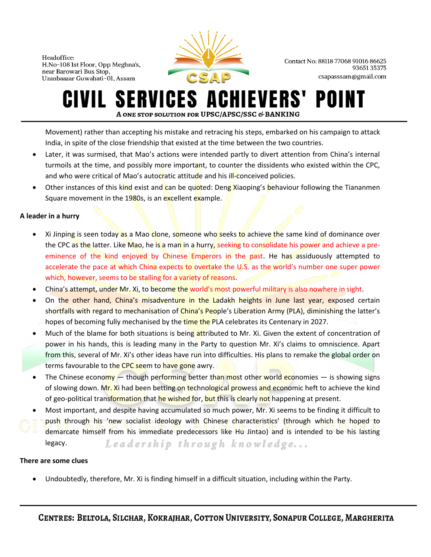

Contact No: 88118 77068 91016 86625 9365135375 csapasssam@gmail.com

#### **SERVICES ACHIEVERS'** POII IVIL-A ONE STOP SOLUTION FOR UPSC/APSC/SSC & BANKING

Movement) rather than accepting his mistake and retracing his steps, embarked on his campaign to attack India, in spite of the close friendship that existed at the time between the two countries.

- Later, it was surmised, that Mao's actions were intended partly to divert attention from China's internal turmoils at the time, and possibly more important, to counter the dissidents who existed within the CPC, and who were critical of Mao's autocratic attitude and his ill-conceived policies.
- Other instances of this kind exist and can be quoted: Deng Xiaoping's behaviour following the Tiananmen Square movement in the 1980s, is an excellent example.

### **A leader in a hurry**

- Xi Jinping is seen today as a Mao clone, someone who seeks to achieve the same kind of dominance over the CPC as the latter. Like Mao, he is a man in a hurry, seeking to consolidate his power and achieve a preeminence of the kind enjoyed by Chinese Emperors in the past. He has assiduously attempted to accelerate the pace at which China expects to overtake the U.S. as the world's number one super power which, however, seems to be stalling for a variety of reasons.
- China's attempt, under Mr. Xi, to become the world's most powerful military is also nowhere in sight.
- On the other hand, China's misadventure in the Ladakh heights in June last year, exposed certain shortfalls with regard to mechanisation of China's People's Liberation Army (PLA), diminishing the latter's hopes of becoming fully mechanised by the time the PLA celebrates its Centenary in 2027.
- Much of the blame for both situations is being attributed to Mr. Xi. Given the extent of concentration of power in his hands, this is leading many in the Party to question Mr. Xi's claims to omniscience. Apart from this, several of Mr. Xi's other ideas have run into difficulties. His plans to remake the global order on terms favourable to the CPC seem to have gone awry.
- The Chinese economy  $-$  though performing better than most other world economies  $-$  is showing signs of slowing down. Mr. Xi had been betting on technological prowess and economic heft to achieve the kind of geo-political transformation that he wished for, but this is clearly not happening at present.
- Most important, and despite having accumulated so much power, Mr. Xi seems to be finding it difficult to push through his 'new socialist ideology with Chinese characteristics' (through which he hoped to demarcate himself from his immediate predecessors like Hu Jintao) and is intended to be his lasting Leadership through knowledge... legacy.

### **There are some clues**

• Undoubtedly, therefore, Mr. Xi is finding himself in a difficult situation, including within the Party.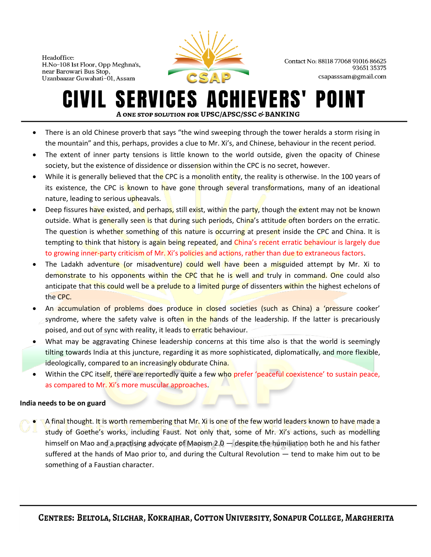

Contact No: 88118 77068 91016 86625 9365135375 csapasssam@gmail.com

## **SERVICES ACHIEVERS'** POINT A ONE STOP SOLUTION FOR UPSC/APSC/SSC & BANKING

- There is an old Chinese proverb that says "the wind sweeping through the tower heralds a storm rising in the mountain" and this, perhaps, provides a clue to Mr. Xi's, and Chinese, behaviour in the recent period.
- The extent of inner party tensions is little known to the world outside, given the opacity of Chinese society, but the existence of dissidence or dissension within the CPC is no secret, however.
- While it is generally believed that the CPC is a monolith entity, the reality is otherwise. In the 100 years of its existence, the CPC is known to have gone through several transformations, many of an ideational nature, leading to serious upheavals.
- Deep fissures have existed, and perhaps, still exist, within the party, though the extent may not be known outside. What is generally seen is that during such periods, China's attitude often borders on the erratic. The question is whether something of this nature is occurring at present inside the CPC and China. It is tempting to think that history is again being repeated, and China's recent erratic behaviour is largely due to growing inner-party criticism of Mr. Xi's policies and actions, rather than due to extraneous factors.
- The Ladakh adventure (or misadventure) could well have been a misguided attempt by Mr. Xi to demonstrate to his opponents within the CPC that he is well and truly in command. One could also anticipate that this could well be a prelude to a limited purge of dissenters within the highest echelons of the CPC.
- An accumulation of problems does produce in closed societies (such as China) a 'pressure cooker' syndrome, where the safety valve is often in the hands of the leadership. If the latter is precariously poised, and out of sync with reality, it leads to erratic behaviour.
- What may be aggravating Chinese leadership concerns at this time also is that the world is seemingly tilting towards India at this juncture, regarding it as more sophisticated, diplomatically, and more flexible, ideologically, compared to an increasingly obdurate China.
- Within the CPC itself, there are reportedly quite a few who prefer 'peaceful coexistence' to sustain peace, as compared to Mr. Xi's more muscular approaches.

### **India needs to be on guard**

A final thought. It is worth remembering that Mr. Xi is one of the few world leaders known to have made a study of Goethe's works, including Faust. Not only that, some of Mr. Xi's actions, such as modelling himself on Mao and a practising advocate of Maoism 2.0 — despite the humiliation both he and his father suffered at the hands of Mao prior to, and during the Cultural Revolution — tend to make him out to be something of a Faustian character.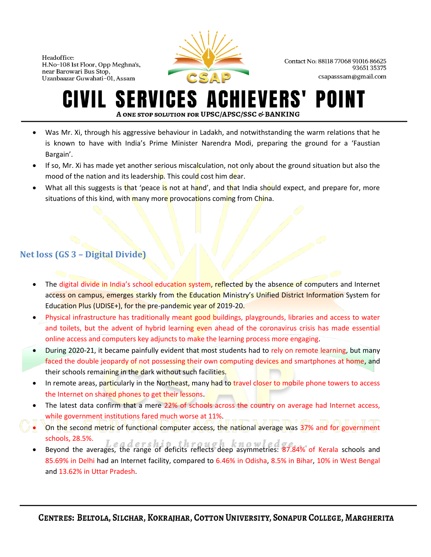

Contact No: 88118 77068 91016 86625 9365135375 csapasssam@gmail.com

#### **ERVICES A HIEVERS'** POI A ONE STOP SOLUTION FOR UPSC/APSC/SSC & BANKING

- Was Mr. Xi, through his aggressive behaviour in Ladakh, and notwithstanding the warm relations that he is known to have with India's Prime Minister Narendra Modi, preparing the ground for a 'Faustian Bargain'.
- If so, Mr. Xi has made yet another serious miscalculation, not only about the ground situation but also the mood of the nation and its leadership. This could cost him dear.
- What all this suggests is that 'peace is not at hand', and that India should expect, and prepare for, more situations of this kind, with many more provocations coming from China.

# **Net loss (GS 3 – Digital Divide)**

- The digital divide in India's school education system, reflected by the absence of computers and Internet access on campus, emerges starkly from the Education Ministry's Unified District Information System for Education Plus (UDISE+), for the pre-pandemic year of 2019-20.
- Physical infrastructure has traditionally meant good buildings, playgrounds, libraries and access to water and toilets, but the advent of hybrid learning even ahead of the coronavirus crisis has made essential online access and computers key adjuncts to make the learning process more engaging.
- During 2020-21, it became painfully evident that most students had to rely on remote learning, but many faced the double jeopardy of not possessing their own computing devices and smartphones at home, and their schools remaining in the dark without such facilities.
- In remote areas, particularly in the Northeast, many had to travel closer to mobile phone towers to access the Internet on shared phones to get their lessons.
- The latest data confirm that a mere 22% of schools across the country on average had Internet access, while government institutions fared much worse at 11%.
- On the second metric of functional computer access, the national average was 37% and for government schools, 28.5%.
- sendors, 20.3%.<br>Beyond the averages, the range of deficits reflects deep asymmetries: 87.84% of Kerala schools and 85.69% in Delhi had an Internet facility, compared to 6.46% in Odisha, 8.5% in Bihar, 10% in West Bengal and 13.62% in Uttar Pradesh.